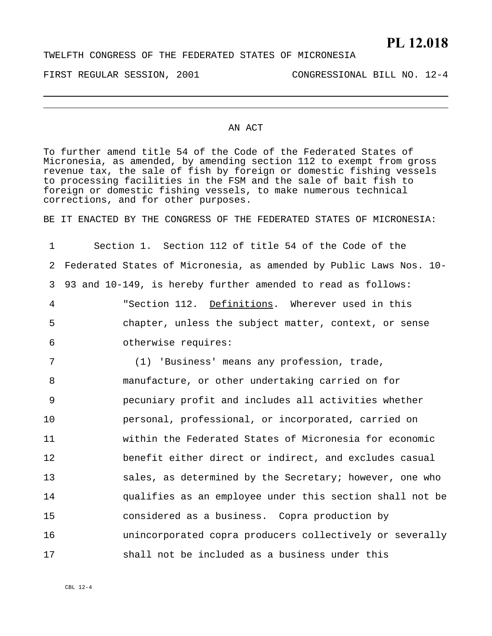## **PL 12.018**

FIRST REGULAR SESSION, 2001 CONGRESSIONAL BILL NO. 12-4

## AN ACT

To further amend title 54 of the Code of the Federated States of Micronesia, as amended, by amending section 112 to exempt from gross revenue tax, the sale of fish by foreign or domestic fishing vessels to processing facilities in the FSM and the sale of bait fish to foreign or domestic fishing vessels, to make numerous technical corrections, and for other purposes.

BE IT ENACTED BY THE CONGRESS OF THE FEDERATED STATES OF MICRONESIA:

1 2 3 Section 1. Section 112 of title 54 of the Code of the Federated States of Micronesia, as amended by Public Laws Nos. 10- 93 and 10-149, is hereby further amended to read as follows: "Section 112. Definitions. Wherever used in this chapter, unless the subject matter, context, or sense otherwise requires: 4 5 6 7 8 9 10 11 12 13 14 15 16 17 (1) 'Business' means any profession, trade, manufacture, or other undertaking carried on for pecuniary profit and includes all activities whether personal, professional, or incorporated, carried on within the Federated States of Micronesia for economic benefit either direct or indirect, and excludes casual sales, as determined by the Secretary; however, one who qualifies as an employee under this section shall not be considered as a business. Copra production by unincorporated copra producers collectively or severally shall not be included as a business under this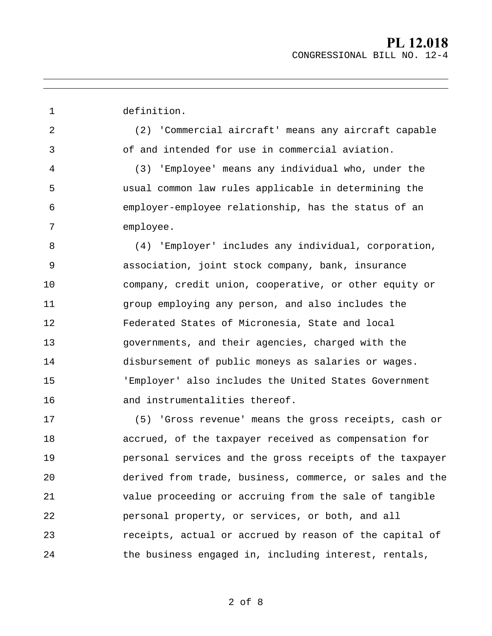1 2 3 4 5 6 7 8 9 10 11 12 13 14 15 16 17 18 19 20 21 22 23 definition. (2) 'Commercial aircraft' means any aircraft capable of and intended for use in commercial aviation. (3) 'Employee' means any individual who, under the usual common law rules applicable in determining the employer-employee relationship, has the status of an employee. (4) 'Employer' includes any individual, corporation, association, joint stock company, bank, insurance company, credit union, cooperative, or other equity or group employing any person, and also includes the Federated States of Micronesia, State and local governments, and their agencies, charged with the disbursement of public moneys as salaries or wages. 'Employer' also includes the United States Government and instrumentalities thereof. (5) 'Gross revenue' means the gross receipts, cash or accrued, of the taxpayer received as compensation for personal services and the gross receipts of the taxpayer derived from trade, business, commerce, or sales and the value proceeding or accruing from the sale of tangible personal property, or services, or both, and all receipts, actual or accrued by reason of the capital of

2 of 8

the business engaged in, including interest, rentals,

24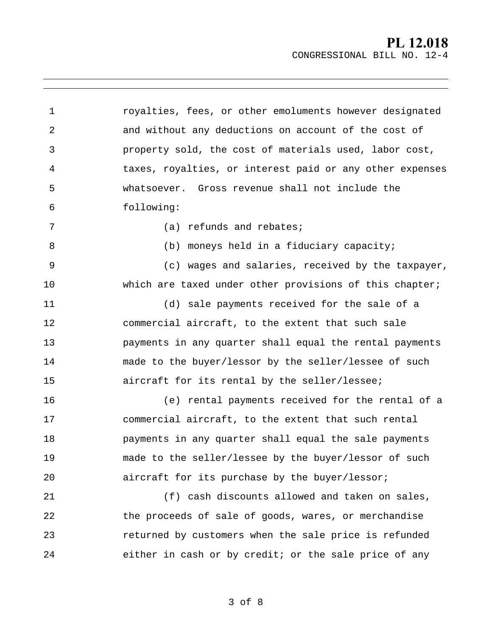1 2 3 4 5 6 7 8 9 10 11 12 13 14 15 16 17 18 19 20 21 22 23 24 royalties, fees, or other emoluments however designated and without any deductions on account of the cost of property sold, the cost of materials used, labor cost, taxes, royalties, or interest paid or any other expenses whatsoever. Gross revenue shall not include the following: (a) refunds and rebates; (b) moneys held in a fiduciary capacity; (c) wages and salaries, received by the taxpayer, which are taxed under other provisions of this chapter; (d) sale payments received for the sale of a commercial aircraft, to the extent that such sale payments in any quarter shall equal the rental payments made to the buyer/lessor by the seller/lessee of such aircraft for its rental by the seller/lessee; (e) rental payments received for the rental of a commercial aircraft, to the extent that such rental payments in any quarter shall equal the sale payments made to the seller/lessee by the buyer/lessor of such aircraft for its purchase by the buyer/lessor; (f) cash discounts allowed and taken on sales, the proceeds of sale of goods, wares, or merchandise returned by customers when the sale price is refunded either in cash or by credit; or the sale price of any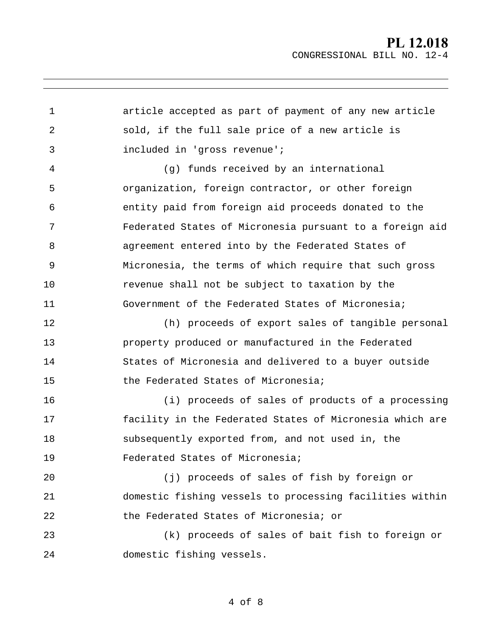1 2 3 4 5 6 7 8 9 10 11 12 13 14 15 16 17 18 19  $2.0$ 21 22 23 24 article accepted as part of payment of any new article sold, if the full sale price of a new article is included in 'gross revenue'; (g) funds received by an international organization, foreign contractor, or other foreign entity paid from foreign aid proceeds donated to the Federated States of Micronesia pursuant to a foreign aid agreement entered into by the Federated States of Micronesia, the terms of which require that such gross revenue shall not be subject to taxation by the Government of the Federated States of Micronesia; (h) proceeds of export sales of tangible personal property produced or manufactured in the Federated States of Micronesia and delivered to a buyer outside the Federated States of Micronesia; (i) proceeds of sales of products of a processing facility in the Federated States of Micronesia which are subsequently exported from, and not used in, the Federated States of Micronesia; (j) proceeds of sales of fish by foreign or domestic fishing vessels to processing facilities within the Federated States of Micronesia; or (k) proceeds of sales of bait fish to foreign or domestic fishing vessels.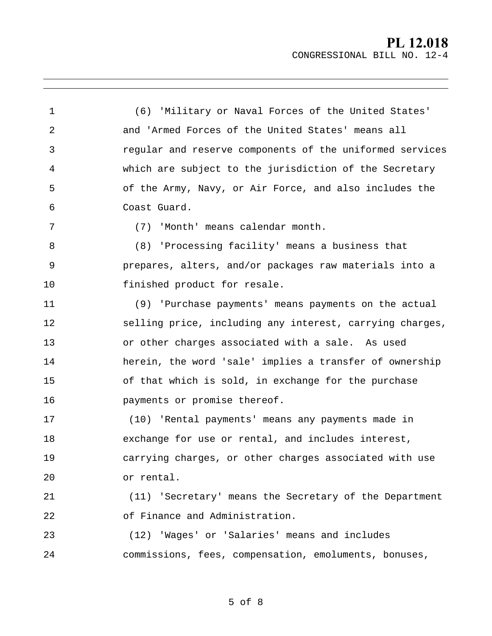1 2 3 4 5 6 7 8 9 (6) 'Military or Naval Forces of the United States' and 'Armed Forces of the United States' means all regular and reserve components of the uniformed services which are subject to the jurisdiction of the Secretary of the Army, Navy, or Air Force, and also includes the Coast Guard. (7) 'Month' means calendar month. (8) 'Processing facility' means a business that prepares, alters, and/or packages raw materials into a finished product for resale.

11 12 13 14 15 16 (9) 'Purchase payments' means payments on the actual selling price, including any interest, carrying charges, or other charges associated with a sale. As used herein, the word 'sale' implies a transfer of ownership of that which is sold, in exchange for the purchase payments or promise thereof.

10

17 18 19 20 (10) 'Rental payments' means any payments made in exchange for use or rental, and includes interest, carrying charges, or other charges associated with use or rental.

21 22 (11) 'Secretary' means the Secretary of the Department of Finance and Administration.

23 24 (12) 'Wages' or 'Salaries' means and includes commissions, fees, compensation, emoluments, bonuses,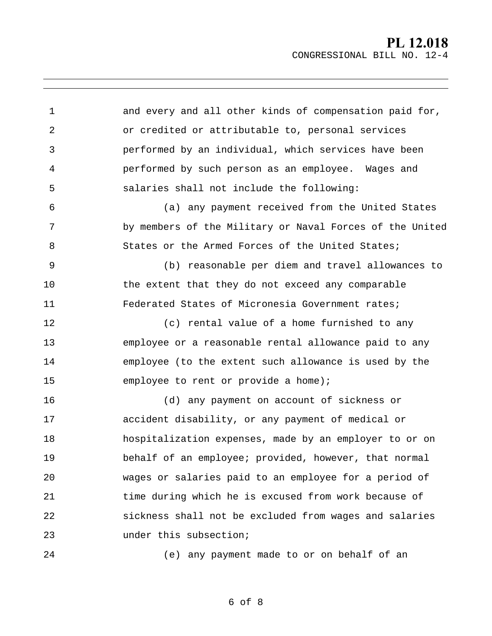1 2 3 4 5 6 7 8 9 10 11 12 13 14 15 16 17 18 19 20 21 22 23 24 and every and all other kinds of compensation paid for, or credited or attributable to, personal services performed by an individual, which services have been performed by such person as an employee. Wages and salaries shall not include the following: (a) any payment received from the United States by members of the Military or Naval Forces of the United States or the Armed Forces of the United States; (b) reasonable per diem and travel allowances to the extent that they do not exceed any comparable Federated States of Micronesia Government rates; (c) rental value of a home furnished to any employee or a reasonable rental allowance paid to any employee (to the extent such allowance is used by the employee to rent or provide a home); (d) any payment on account of sickness or accident disability, or any payment of medical or hospitalization expenses, made by an employer to or on behalf of an employee; provided, however, that normal wages or salaries paid to an employee for a period of time during which he is excused from work because of sickness shall not be excluded from wages and salaries under this subsection; (e) any payment made to or on behalf of an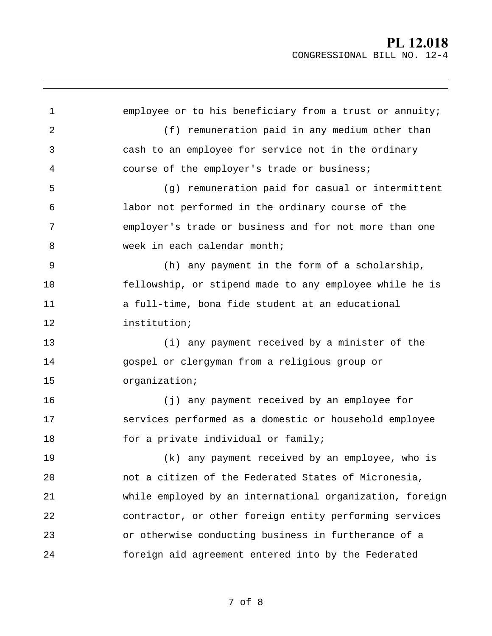1 2 3 4 5 6 7 8 9 10 11 12 13 14 15 16 17 18 19  $2.0$ 21 22 23 24 employee or to his beneficiary from a trust or annuity; (f) remuneration paid in any medium other than cash to an employee for service not in the ordinary course of the employer's trade or business; (g) remuneration paid for casual or intermittent labor not performed in the ordinary course of the employer's trade or business and for not more than one week in each calendar month; (h) any payment in the form of a scholarship, fellowship, or stipend made to any employee while he is a full-time, bona fide student at an educational institution; (i) any payment received by a minister of the gospel or clergyman from a religious group or organization; (j) any payment received by an employee for services performed as a domestic or household employee for a private individual or family; (k) any payment received by an employee, who is not a citizen of the Federated States of Micronesia, while employed by an international organization, foreign contractor, or other foreign entity performing services or otherwise conducting business in furtherance of a foreign aid agreement entered into by the Federated